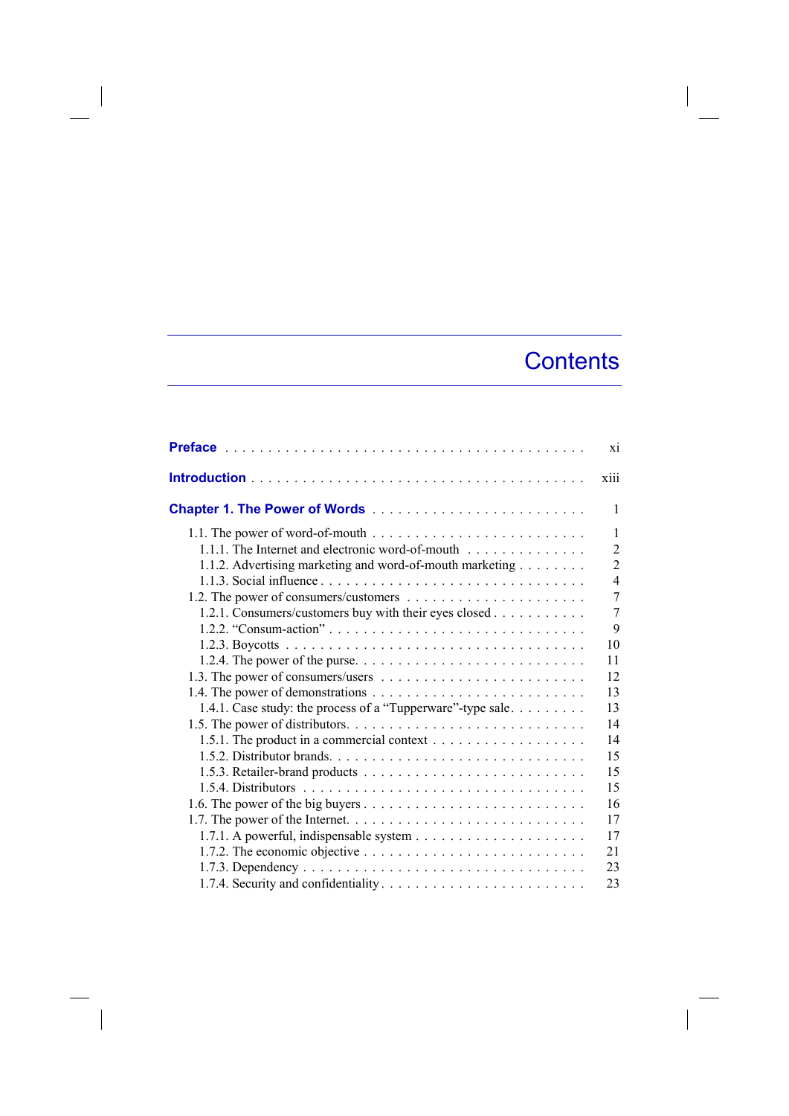## **Contents**

|                                                                                               | X1             |
|-----------------------------------------------------------------------------------------------|----------------|
|                                                                                               | xiii           |
|                                                                                               | 1              |
| 1.1. The power of word-of-mouth $\dots \dots \dots \dots \dots \dots \dots \dots \dots \dots$ | 1              |
| 1.1.1. The Internet and electronic word-of-mouth                                              | $\overline{2}$ |
| 1.1.2. Advertising marketing and word-of-mouth marketing                                      | $\overline{2}$ |
|                                                                                               | $\overline{4}$ |
|                                                                                               | 7              |
| 1.2.1. Consumers/customers buy with their eyes closed                                         | 7              |
|                                                                                               | 9              |
|                                                                                               | 10             |
|                                                                                               | 11             |
|                                                                                               | 12             |
|                                                                                               | 13             |
| 1.4.1. Case study: the process of a "Tupperware"-type sale                                    | 13             |
|                                                                                               | 14             |
|                                                                                               | 14             |
|                                                                                               | 15             |
|                                                                                               | 15             |
|                                                                                               | 15             |
|                                                                                               | 16             |
|                                                                                               | 17             |
|                                                                                               | 17             |
| 1.7.2. The economic objective $\dots \dots \dots \dots \dots \dots \dots \dots \dots \dots$   | 21             |
|                                                                                               | 23             |
|                                                                                               | 23             |

 $\begin{array}{c} \hline \end{array}$ 

 $\overline{\phantom{a}}$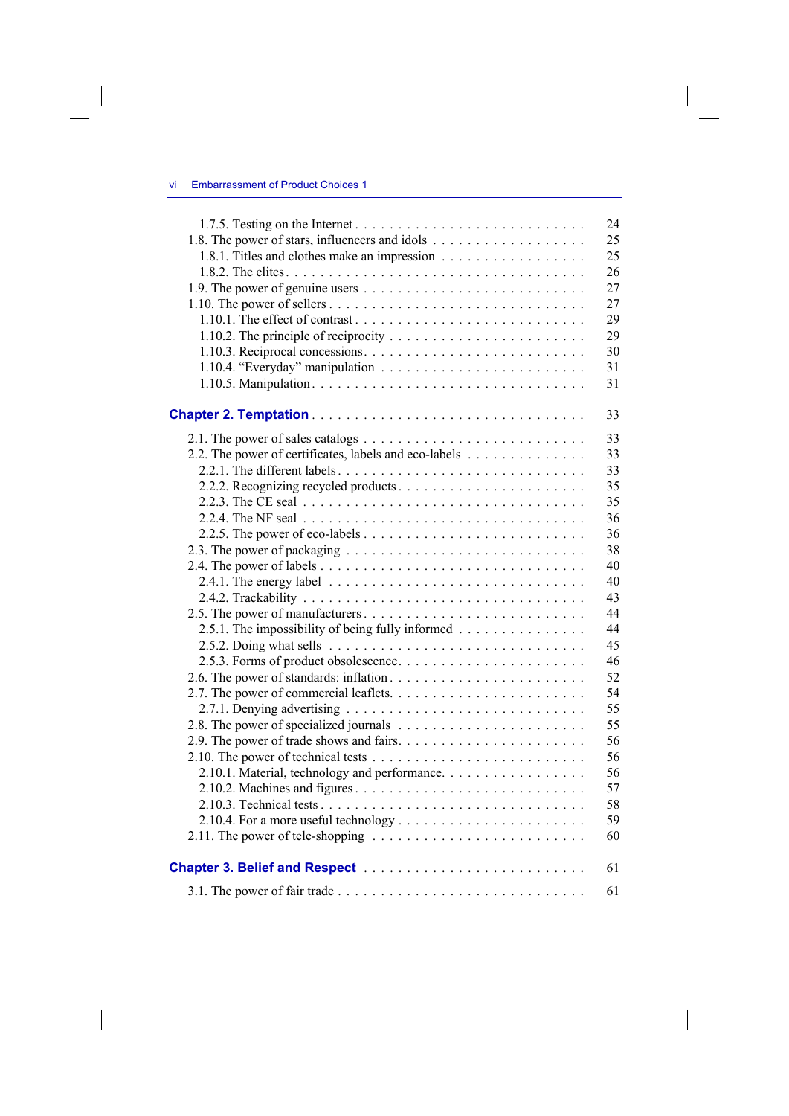$\begin{array}{c} \hline \end{array}$ 

|                                                       | 24 |
|-------------------------------------------------------|----|
|                                                       | 25 |
| 1.8.1. Titles and clothes make an impression          | 25 |
|                                                       | 26 |
|                                                       | 27 |
|                                                       | 27 |
|                                                       | 29 |
|                                                       | 29 |
|                                                       | 30 |
|                                                       | 31 |
|                                                       | 31 |
|                                                       |    |
|                                                       | 33 |
|                                                       | 33 |
| 2.2. The power of certificates, labels and eco-labels | 33 |
|                                                       | 33 |
|                                                       | 35 |
|                                                       | 35 |
|                                                       | 36 |
|                                                       | 36 |
|                                                       | 38 |
|                                                       | 40 |
|                                                       | 40 |
|                                                       | 43 |
|                                                       | 44 |
| 2.5.1. The impossibility of being fully informed      | 44 |
|                                                       | 45 |
|                                                       | 46 |
|                                                       | 52 |
|                                                       | 54 |
|                                                       | 55 |
|                                                       | 55 |
|                                                       | 56 |
|                                                       | 56 |
| 2.10.1. Material, technology and performance.         | 56 |
|                                                       | 57 |
|                                                       | 58 |
|                                                       | 59 |
|                                                       | 60 |
|                                                       |    |
|                                                       | 61 |
|                                                       | 61 |

 $\overline{\phantom{a}}$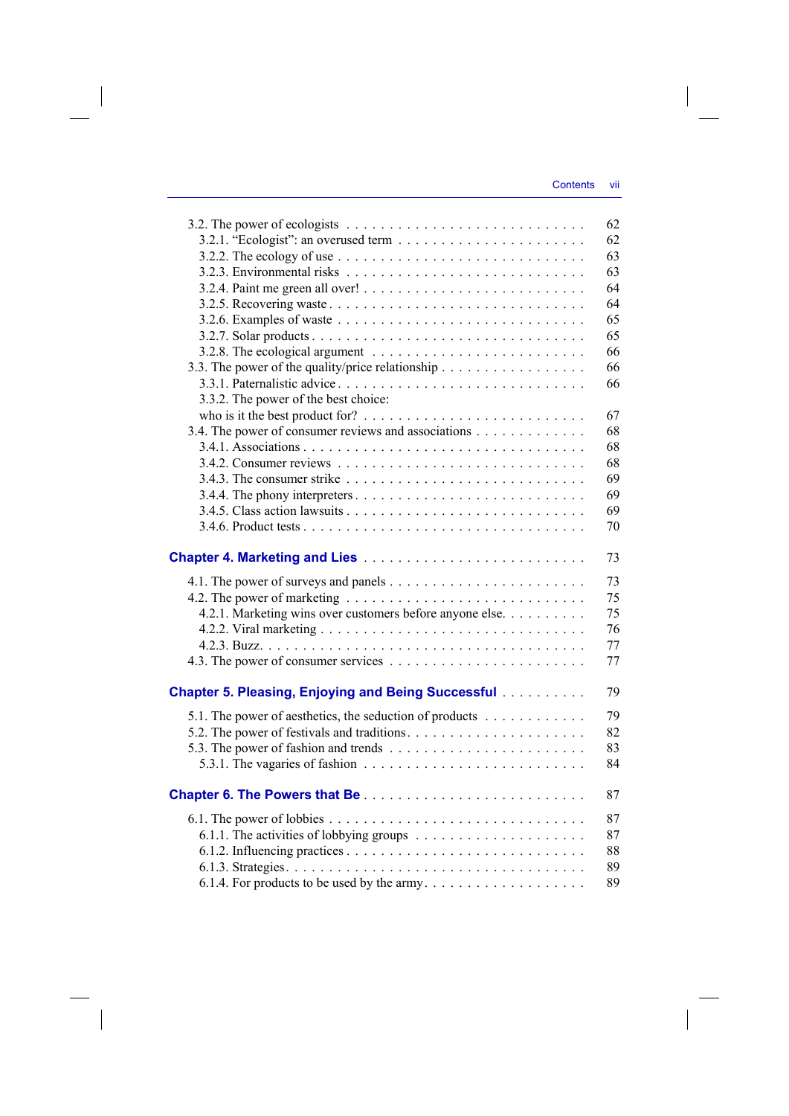|                                                                                            | 62 |
|--------------------------------------------------------------------------------------------|----|
|                                                                                            | 62 |
| 3.2.2. The ecology of use $\ldots \ldots \ldots \ldots \ldots \ldots \ldots \ldots \ldots$ | 63 |
|                                                                                            | 63 |
|                                                                                            | 64 |
|                                                                                            | 64 |
|                                                                                            | 65 |
|                                                                                            | 65 |
|                                                                                            | 66 |
| 3.3. The power of the quality/price relationship                                           | 66 |
|                                                                                            | 66 |
| 3.3.2. The power of the best choice:                                                       |    |
|                                                                                            | 67 |
| 3.4. The power of consumer reviews and associations                                        | 68 |
|                                                                                            | 68 |
|                                                                                            | 68 |
|                                                                                            | 69 |
|                                                                                            | 69 |
|                                                                                            | 69 |
|                                                                                            | 70 |
|                                                                                            |    |
|                                                                                            | 73 |
|                                                                                            |    |
|                                                                                            | 73 |
|                                                                                            | 75 |
| 4.2.1. Marketing wins over customers before anyone else.                                   | 75 |
|                                                                                            | 76 |
|                                                                                            | 77 |
|                                                                                            | 77 |
|                                                                                            |    |
| <b>Chapter 5. Pleasing, Enjoying and Being Successful</b>                                  | 79 |
| 5.1. The power of aesthetics, the seduction of products                                    | 79 |
|                                                                                            | 82 |
|                                                                                            | 83 |
| 5.3.1. The vagaries of fashion $\ldots \ldots \ldots \ldots \ldots \ldots \ldots \ldots$   | 84 |
|                                                                                            |    |
|                                                                                            | 87 |
|                                                                                            | 87 |
|                                                                                            | 87 |
|                                                                                            | 88 |
|                                                                                            | 89 |
| 6.1.4. For products to be used by the army                                                 | 89 |
|                                                                                            |    |

 $\overline{\phantom{a}}$ 

 $\begin{array}{c} \begin{array}{c} \end{array} \end{array}$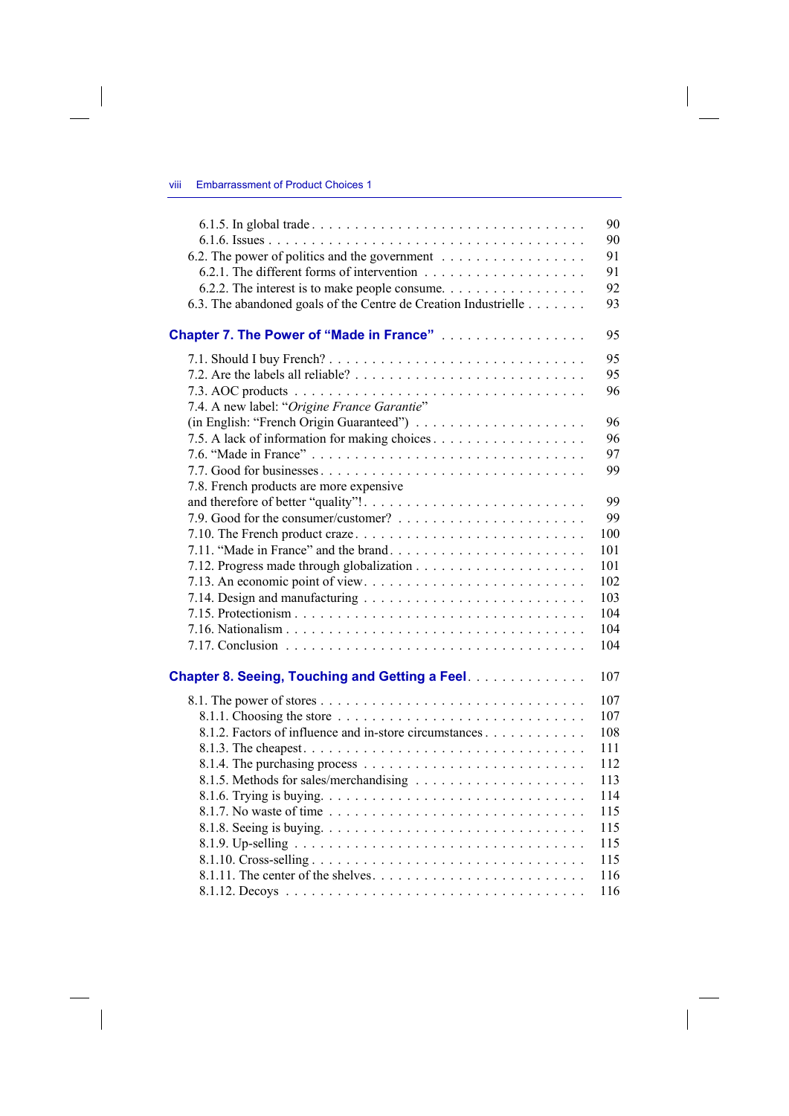| 6.2. The power of politics and the government                                                                                                           | 90<br>90<br>91<br>91 |
|---------------------------------------------------------------------------------------------------------------------------------------------------------|----------------------|
| 6.2.2. The interest is to make people consume. $\dots \dots \dots \dots \dots \dots$<br>6.3. The abandoned goals of the Centre de Creation Industrielle | 92<br>93             |
| <b>Chapter 7. The Power of "Made in France"</b>                                                                                                         | 95                   |
| 7.4. A new label: "Origine France Garantie"                                                                                                             | 95<br>95<br>96       |
|                                                                                                                                                         | 96                   |
|                                                                                                                                                         | 96                   |
|                                                                                                                                                         | 97                   |
|                                                                                                                                                         | 99                   |
| 7.8. French products are more expensive                                                                                                                 |                      |
|                                                                                                                                                         | 99                   |
|                                                                                                                                                         | 99                   |
|                                                                                                                                                         | 100                  |
|                                                                                                                                                         | 101                  |
|                                                                                                                                                         | 101                  |
|                                                                                                                                                         | 102                  |
|                                                                                                                                                         | 103                  |
|                                                                                                                                                         | 104                  |
|                                                                                                                                                         | 104                  |
|                                                                                                                                                         | 104                  |
|                                                                                                                                                         |                      |
| <b>Chapter 8. Seeing, Touching and Getting a Feel.</b>                                                                                                  | 107                  |
|                                                                                                                                                         | 107                  |
|                                                                                                                                                         | 107                  |
| 8.1.2. Factors of influence and in-store circumstances                                                                                                  | 108                  |
|                                                                                                                                                         | 111                  |
|                                                                                                                                                         | 112                  |
|                                                                                                                                                         | 113                  |
|                                                                                                                                                         | 114                  |
|                                                                                                                                                         | 115                  |
|                                                                                                                                                         | 115                  |
|                                                                                                                                                         | 115                  |
|                                                                                                                                                         | 115                  |
|                                                                                                                                                         | 116                  |
|                                                                                                                                                         | 116                  |

 $\overline{\phantom{a}}$ 

 $\begin{array}{c} \hline \end{array}$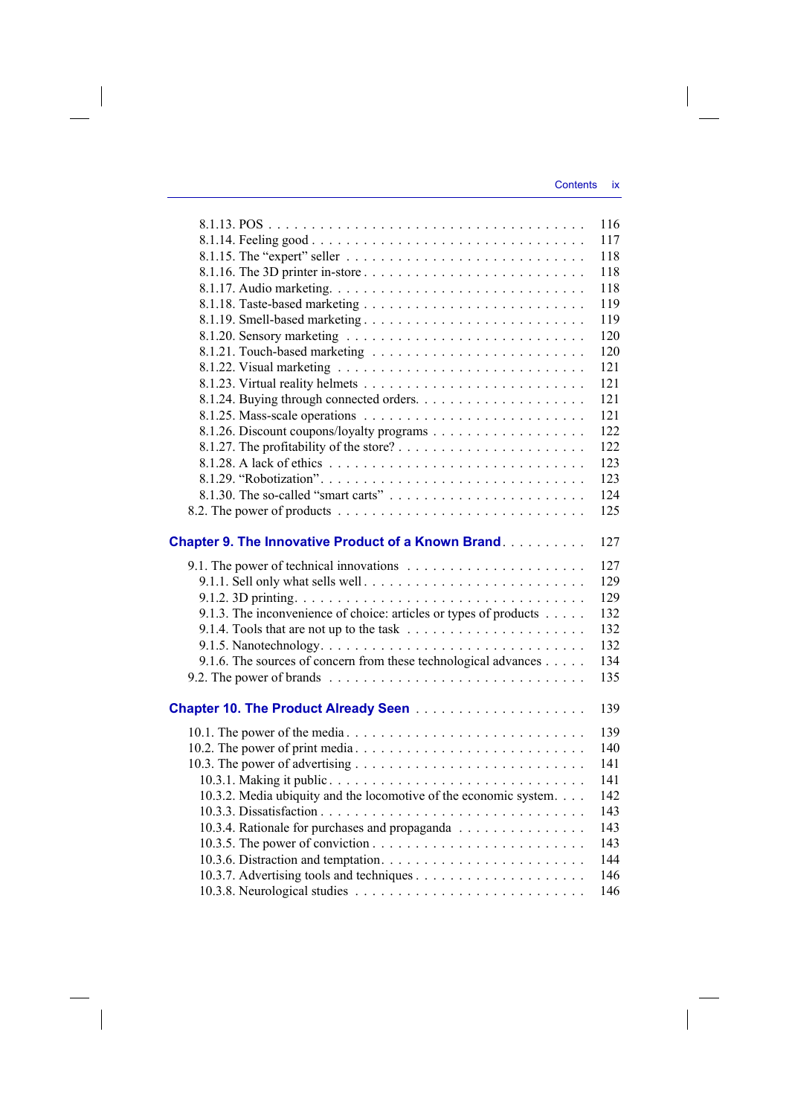|                                                                                                  | 116 |
|--------------------------------------------------------------------------------------------------|-----|
|                                                                                                  | 117 |
|                                                                                                  | 118 |
|                                                                                                  | 118 |
|                                                                                                  | 118 |
|                                                                                                  | 119 |
| 8.1.19. Smell-based marketing                                                                    | 119 |
|                                                                                                  | 120 |
|                                                                                                  | 120 |
|                                                                                                  | 121 |
|                                                                                                  | 121 |
|                                                                                                  | 121 |
|                                                                                                  | 121 |
|                                                                                                  | 122 |
|                                                                                                  | 122 |
|                                                                                                  | 123 |
|                                                                                                  | 123 |
|                                                                                                  | 124 |
|                                                                                                  | 125 |
|                                                                                                  |     |
| <b>Chapter 9. The Innovative Product of a Known Brand</b>                                        | 127 |
|                                                                                                  | 127 |
|                                                                                                  | 129 |
|                                                                                                  | 129 |
| 9.1.3. The inconvenience of choice: articles or types of products                                | 132 |
|                                                                                                  | 132 |
|                                                                                                  | 132 |
| 9.1.6. The sources of concern from these technological advances                                  | 134 |
| 9.2. The power of brands $\ldots \ldots \ldots \ldots \ldots \ldots \ldots \ldots \ldots \ldots$ | 135 |
|                                                                                                  |     |
|                                                                                                  | 139 |
| 10.1. The power of the media                                                                     | 139 |
|                                                                                                  | 140 |
|                                                                                                  |     |
|                                                                                                  | 141 |
|                                                                                                  | 141 |
| 10.3.2. Media ubiquity and the locomotive of the economic system.                                | 142 |
|                                                                                                  | 143 |
| 10.3.4. Rationale for purchases and propaganda                                                   | 143 |
|                                                                                                  | 143 |
|                                                                                                  | 144 |
|                                                                                                  | 146 |

 $\overline{\phantom{a}}$ 

 $\overline{\phantom{a}}$